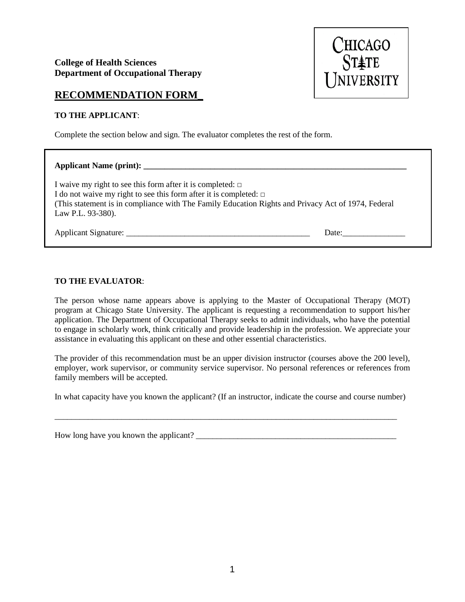## **College of Health Sciences Department of Occupational Therapy**



## **RECOMMENDATION FORM\_**

## **TO THE APPLICANT**:

Complete the section below and sign. The evaluator completes the rest of the form.

| I waive my right to see this form after it is completed: $\Box$<br>I do not waive my right to see this form after it is completed: $\Box$<br>(This statement is in compliance with The Family Education Rights and Privacy Act of 1974, Federal<br>Law P.L. 93-380). |       |
|----------------------------------------------------------------------------------------------------------------------------------------------------------------------------------------------------------------------------------------------------------------------|-------|
| Applicant Signature:                                                                                                                                                                                                                                                 | Date: |

## **TO THE EVALUATOR**:

The person whose name appears above is applying to the Master of Occupational Therapy (MOT) program at Chicago State University. The applicant is requesting a recommendation to support his/her application. The Department of Occupational Therapy seeks to admit individuals, who have the potential to engage in scholarly work, think critically and provide leadership in the profession. We appreciate your assistance in evaluating this applicant on these and other essential characteristics.

The provider of this recommendation must be an upper division instructor (courses above the 200 level), employer, work supervisor, or community service supervisor. No personal references or references from family members will be accepted.

In what capacity have you known the applicant? (If an instructor, indicate the course and course number)

\_\_\_\_\_\_\_\_\_\_\_\_\_\_\_\_\_\_\_\_\_\_\_\_\_\_\_\_\_\_\_\_\_\_\_\_\_\_\_\_\_\_\_\_\_\_\_\_\_\_\_\_\_\_\_\_\_\_\_\_\_\_\_\_\_\_\_\_\_\_\_\_\_\_\_\_\_\_\_\_\_\_

How long have you known the applicant? \_\_\_\_\_\_\_\_\_\_\_\_\_\_\_\_\_\_\_\_\_\_\_\_\_\_\_\_\_\_\_\_\_\_\_\_\_\_\_\_\_\_\_\_\_\_\_\_